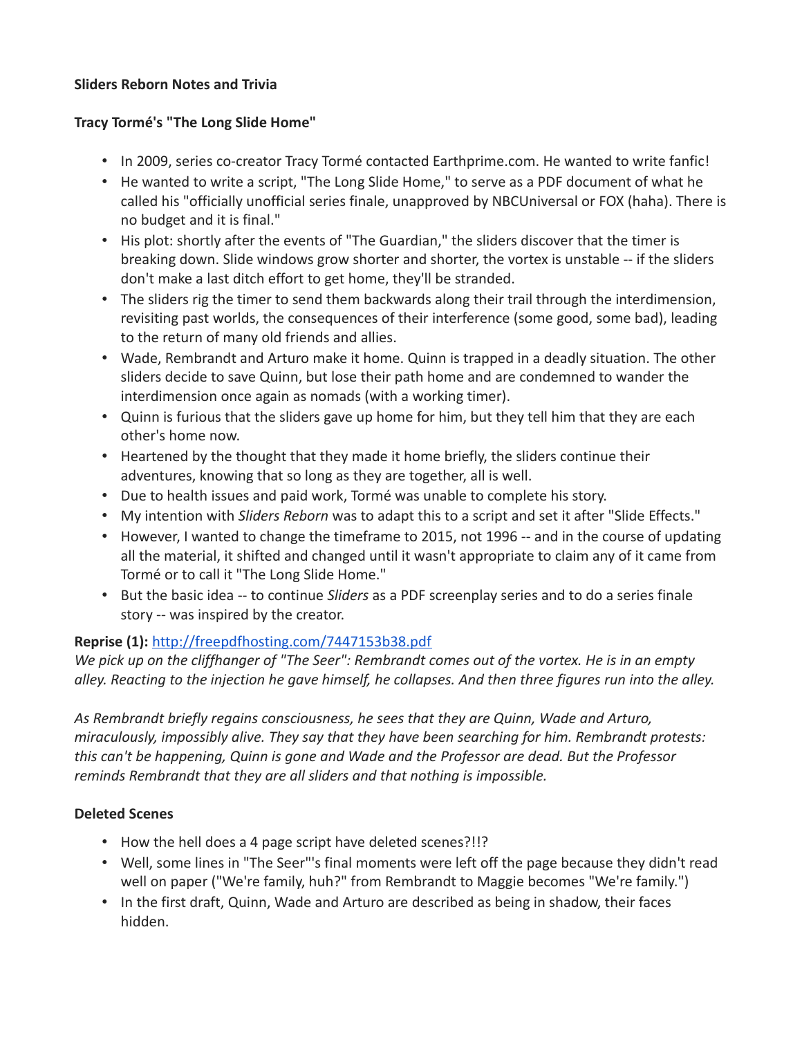#### **Sliders Reborn Notes and Trivia**

### **Tracy Tormé's "The Long Slide Home"**

- In 2009, series co-creator Tracy Tormé contacted Earthprime.com. He wanted to write fanfic!
- He wanted to write a script, "The Long Slide Home," to serve as a PDF document of what he called his "officially unofficial series finale, unapproved by NBCUniversal or FOX (haha). There is no budget and it is final."
- His plot: shortly after the events of "The Guardian," the sliders discover that the timer is breaking down. Slide windows grow shorter and shorter, the vortex is unstable -- if the sliders don't make a last ditch effort to get home, they'll be stranded.
- The sliders rig the timer to send them backwards along their trail through the interdimension, revisiting past worlds, the consequences of their interference (some good, some bad), leading to the return of many old friends and allies.
- Wade, Rembrandt and Arturo make it home. Quinn is trapped in a deadly situation. The other sliders decide to save Quinn, but lose their path home and are condemned to wander the interdimension once again as nomads (with a working timer).
- Quinn is furious that the sliders gave up home for him, but they tell him that they are each other's home now.
- Heartened by the thought that they made it home briefly, the sliders continue their adventures, knowing that so long as they are together, all is well.
- Due to health issues and paid work, Tormé was unable to complete his story.
- My intention with *Sliders Reborn* was to adapt this to a script and set it after "Slide Effects."
- However, I wanted to change the timeframe to 2015, not 1996 -- and in the course of updating all the material, it shifted and changed until it wasn't appropriate to claim any of it came from Tormé or to call it "The Long Slide Home."
- But the basic idea -- to continue *Sliders* as a PDF screenplay series and to do a series finale story -- was inspired by the creator.

# **Reprise (1):** <http://freepdfhosting.com/7447153b38.pdf>

*We pick up on the cliffhanger of "The Seer": Rembrandt comes out of the vortex. He is in an empty alley. Reacting to the injection he gave himself, he collapses. And then three figures run into the alley.*

*As Rembrandt briefly regains consciousness, he sees that they are Quinn, Wade and Arturo, miraculously, impossibly alive. They say that they have been searching for him. Rembrandt protests: this can't be happening, Quinn is gone and Wade and the Professor are dead. But the Professor reminds Rembrandt that they are all sliders and that nothing is impossible.*

### **Deleted Scenes**

- How the hell does a 4 page script have deleted scenes?!!?
- Well, some lines in "The Seer"'s final moments were left off the page because they didn't read well on paper ("We're family, huh?" from Rembrandt to Maggie becomes "We're family.")
- In the first draft, Quinn, Wade and Arturo are described as being in shadow, their faces hidden.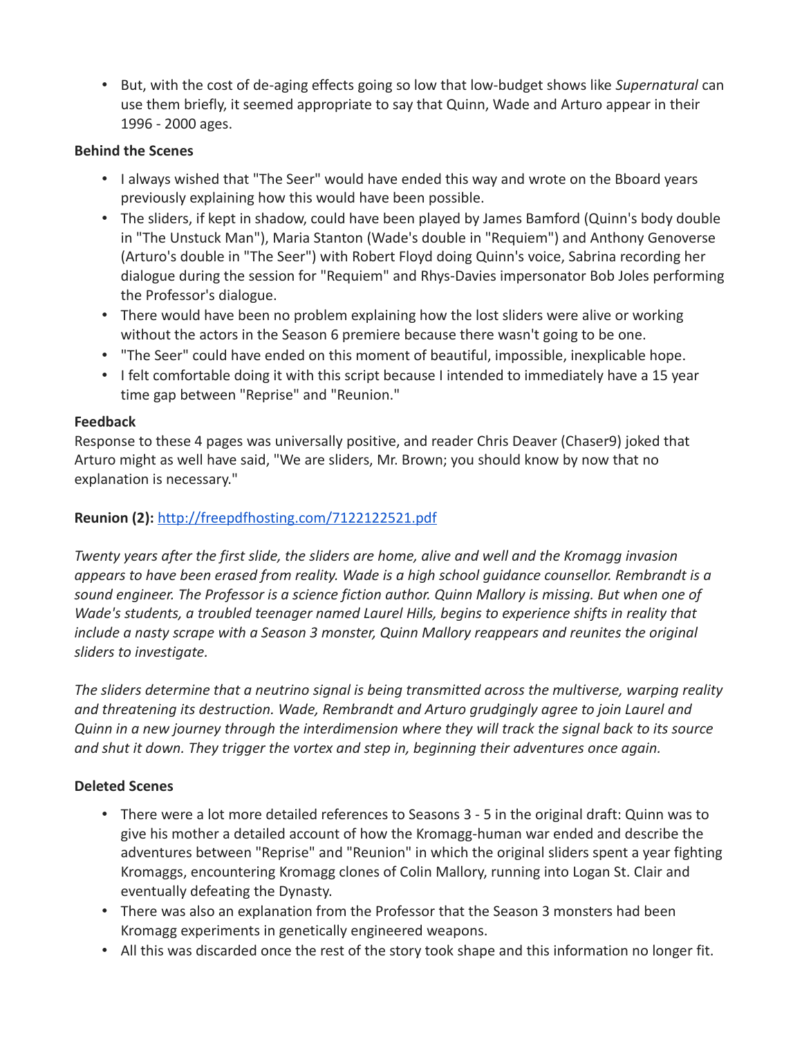• But, with the cost of de-aging effects going so low that low-budget shows like *Supernatural* can use them briefly, it seemed appropriate to say that Quinn, Wade and Arturo appear in their 1996 - 2000 ages.

### **Behind the Scenes**

- I always wished that "The Seer" would have ended this way and wrote on the Bboard years previously explaining how this would have been possible.
- The sliders, if kept in shadow, could have been played by James Bamford (Quinn's body double in "The Unstuck Man"), Maria Stanton (Wade's double in "Requiem") and Anthony Genoverse (Arturo's double in "The Seer") with Robert Floyd doing Quinn's voice, Sabrina recording her dialogue during the session for "Requiem" and Rhys-Davies impersonator Bob Joles performing the Professor's dialogue.
- There would have been no problem explaining how the lost sliders were alive or working without the actors in the Season 6 premiere because there wasn't going to be one.
- "The Seer" could have ended on this moment of beautiful, impossible, inexplicable hope.
- I felt comfortable doing it with this script because I intended to immediately have a 15 year time gap between "Reprise" and "Reunion."

#### **Feedback**

Response to these 4 pages was universally positive, and reader Chris Deaver (Chaser9) joked that Arturo might as well have said, "We are sliders, Mr. Brown; you should know by now that no explanation is necessary."

#### **Reunion (2):** <http://freepdfhosting.com/7122122521.pdf>

*Twenty years after the first slide, the sliders are home, alive and well and the Kromagg invasion appears to have been erased from reality. Wade is a high school guidance counsellor. Rembrandt is a sound engineer. The Professor is a science fiction author. Quinn Mallory is missing. But when one of Wade's students, a troubled teenager named Laurel Hills, begins to experience shifts in reality that include a nasty scrape with a Season 3 monster, Quinn Mallory reappears and reunites the original sliders to investigate.*

*The sliders determine that a neutrino signal is being transmitted across the multiverse, warping reality and threatening its destruction. Wade, Rembrandt and Arturo grudgingly agree to join Laurel and Quinn in a new journey through the interdimension where they will track the signal back to its source and shut it down. They trigger the vortex and step in, beginning their adventures once again.*

### **Deleted Scenes**

- There were a lot more detailed references to Seasons 3 5 in the original draft: Quinn was to give his mother a detailed account of how the Kromagg-human war ended and describe the adventures between "Reprise" and "Reunion" in which the original sliders spent a year fighting Kromaggs, encountering Kromagg clones of Colin Mallory, running into Logan St. Clair and eventually defeating the Dynasty.
- There was also an explanation from the Professor that the Season 3 monsters had been Kromagg experiments in genetically engineered weapons.
- All this was discarded once the rest of the story took shape and this information no longer fit.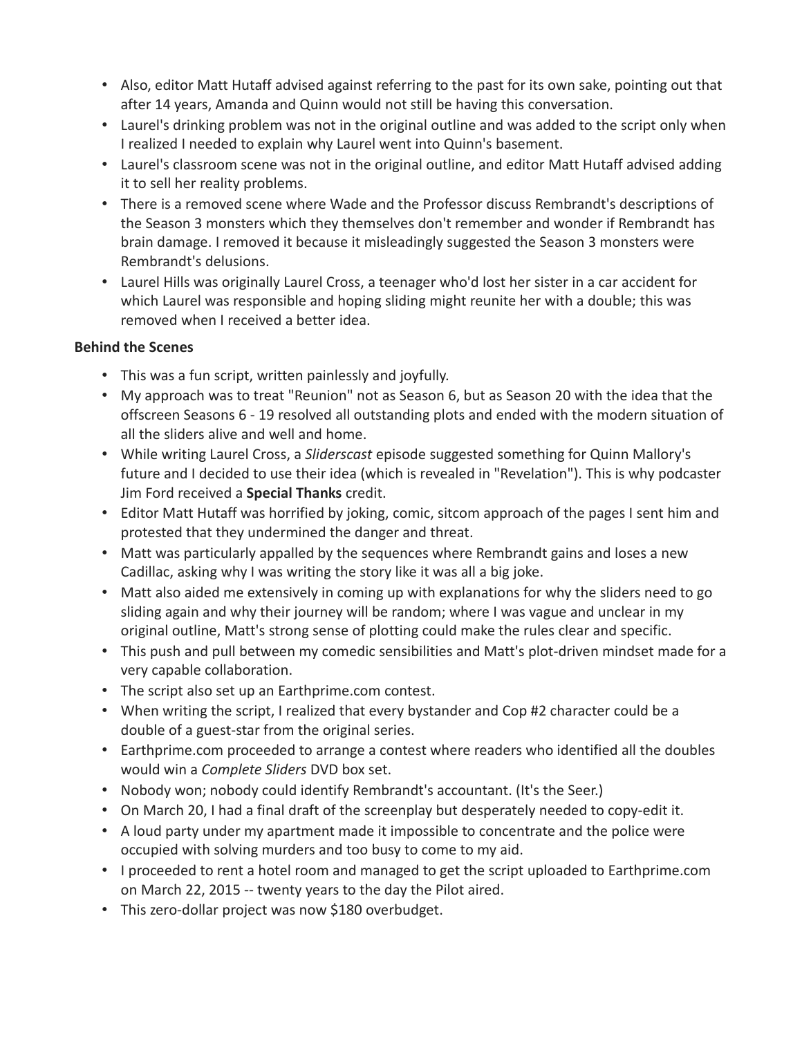- Also, editor Matt Hutaff advised against referring to the past for its own sake, pointing out that after 14 years, Amanda and Quinn would not still be having this conversation.
- Laurel's drinking problem was not in the original outline and was added to the script only when I realized I needed to explain why Laurel went into Quinn's basement.
- Laurel's classroom scene was not in the original outline, and editor Matt Hutaff advised adding it to sell her reality problems.
- There is a removed scene where Wade and the Professor discuss Rembrandt's descriptions of the Season 3 monsters which they themselves don't remember and wonder if Rembrandt has brain damage. I removed it because it misleadingly suggested the Season 3 monsters were Rembrandt's delusions.
- Laurel Hills was originally Laurel Cross, a teenager who'd lost her sister in a car accident for which Laurel was responsible and hoping sliding might reunite her with a double; this was removed when I received a better idea.

### **Behind the Scenes**

- This was a fun script, written painlessly and joyfully.
- My approach was to treat "Reunion" not as Season 6, but as Season 20 with the idea that the offscreen Seasons 6 - 19 resolved all outstanding plots and ended with the modern situation of all the sliders alive and well and home.
- While writing Laurel Cross, a *Sliderscast* episode suggested something for Quinn Mallory's future and I decided to use their idea (which is revealed in "Revelation"). This is why podcaster Jim Ford received a **Special Thanks** credit.
- Editor Matt Hutaff was horrified by joking, comic, sitcom approach of the pages I sent him and protested that they undermined the danger and threat.
- Matt was particularly appalled by the sequences where Rembrandt gains and loses a new Cadillac, asking why I was writing the story like it was all a big joke.
- Matt also aided me extensively in coming up with explanations for why the sliders need to go sliding again and why their journey will be random; where I was vague and unclear in my original outline, Matt's strong sense of plotting could make the rules clear and specific.
- This push and pull between my comedic sensibilities and Matt's plot-driven mindset made for a very capable collaboration.
- The script also set up an Earthprime.com contest.
- When writing the script, I realized that every bystander and Cop #2 character could be a double of a guest-star from the original series.
- Earthprime.com proceeded to arrange a contest where readers who identified all the doubles would win a *Complete Sliders* DVD box set.
- Nobody won; nobody could identify Rembrandt's accountant. (It's the Seer.)
- On March 20, I had a final draft of the screenplay but desperately needed to copy-edit it.
- A loud party under my apartment made it impossible to concentrate and the police were occupied with solving murders and too busy to come to my aid.
- I proceeded to rent a hotel room and managed to get the script uploaded to Earthprime.com on March 22, 2015 -- twenty years to the day the Pilot aired.
- This zero-dollar project was now \$180 overbudget.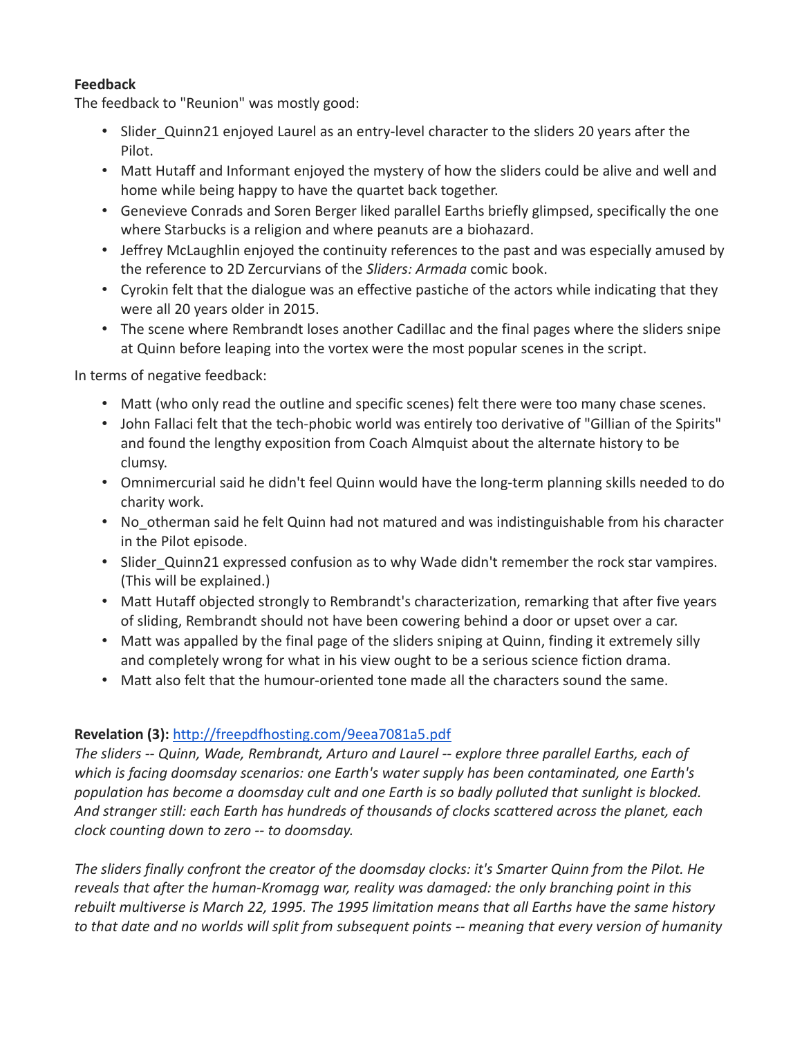## **Feedback**

The feedback to "Reunion" was mostly good:

- Slider Quinn21 enjoyed Laurel as an entry-level character to the sliders 20 years after the Pilot.
- Matt Hutaff and Informant enjoyed the mystery of how the sliders could be alive and well and home while being happy to have the quartet back together.
- Genevieve Conrads and Soren Berger liked parallel Earths briefly glimpsed, specifically the one where Starbucks is a religion and where peanuts are a biohazard.
- Jeffrey McLaughlin enjoyed the continuity references to the past and was especially amused by the reference to 2D Zercurvians of the *Sliders: Armada* comic book.
- Cyrokin felt that the dialogue was an effective pastiche of the actors while indicating that they were all 20 years older in 2015.
- The scene where Rembrandt loses another Cadillac and the final pages where the sliders snipe at Quinn before leaping into the vortex were the most popular scenes in the script.

In terms of negative feedback:

- Matt (who only read the outline and specific scenes) felt there were too many chase scenes.
- John Fallaci felt that the tech-phobic world was entirely too derivative of "Gillian of the Spirits" and found the lengthy exposition from Coach Almquist about the alternate history to be clumsy.
- Omnimercurial said he didn't feel Quinn would have the long-term planning skills needed to do charity work.
- No otherman said he felt Quinn had not matured and was indistinguishable from his character in the Pilot episode.
- Slider Quinn21 expressed confusion as to why Wade didn't remember the rock star vampires. (This will be explained.)
- Matt Hutaff objected strongly to Rembrandt's characterization, remarking that after five years of sliding, Rembrandt should not have been cowering behind a door or upset over a car.
- Matt was appalled by the final page of the sliders sniping at Quinn, finding it extremely silly and completely wrong for what in his view ought to be a serious science fiction drama.
- Matt also felt that the humour-oriented tone made all the characters sound the same.

### **Revelation (3):** <http://freepdfhosting.com/9eea7081a5.pdf>

*The sliders -- Quinn, Wade, Rembrandt, Arturo and Laurel -- explore three parallel Earths, each of which is facing doomsday scenarios: one Earth's water supply has been contaminated, one Earth's population has become a doomsday cult and one Earth is so badly polluted that sunlight is blocked. And stranger still: each Earth has hundreds of thousands of clocks scattered across the planet, each clock counting down to zero -- to doomsday.*

*The sliders finally confront the creator of the doomsday clocks: it's Smarter Quinn from the Pilot. He reveals that after the human-Kromagg war, reality was damaged: the only branching point in this rebuilt multiverse is March 22, 1995. The 1995 limitation means that all Earths have the same history to that date and no worlds will split from subsequent points -- meaning that every version of humanity*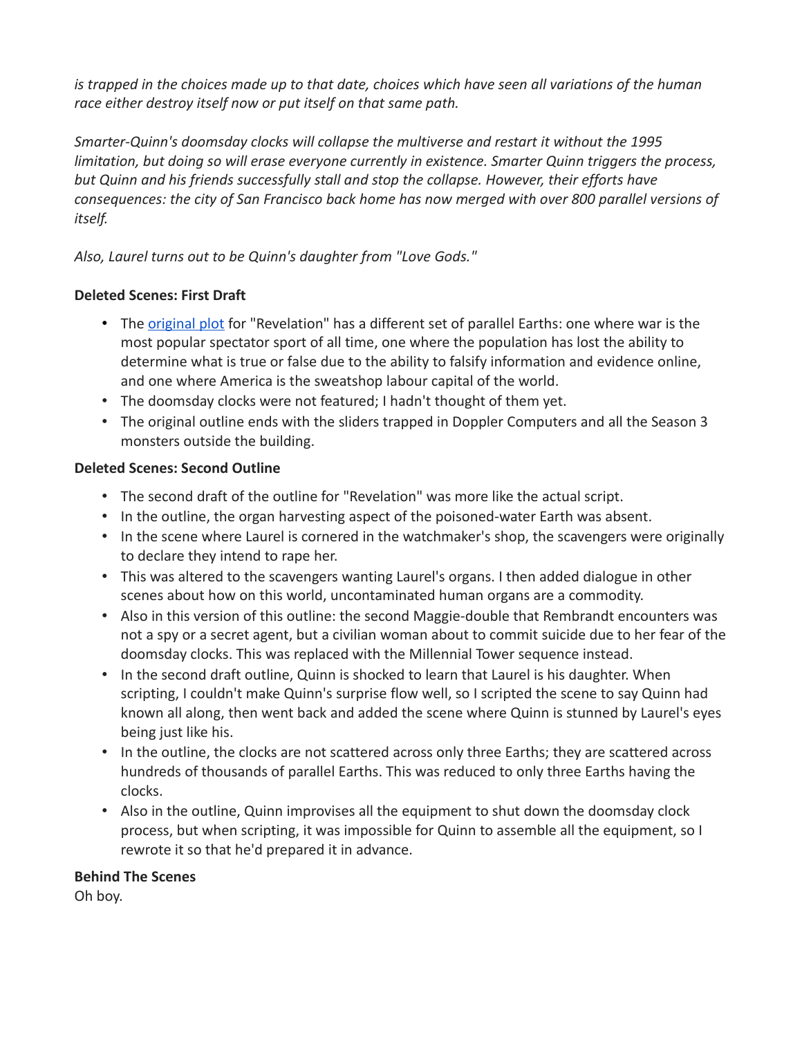*is trapped in the choices made up to that date, choices which have seen all variations of the human race either destroy itself now or put itself on that same path.*

*Smarter-Quinn's doomsday clocks will collapse the multiverse and restart it without the 1995 limitation, but doing so will erase everyone currently in existence. Smarter Quinn triggers the process, but Quinn and his friends successfully stall and stop the collapse. However, their efforts have consequences: the city of San Francisco back home has now merged with over 800 parallel versions of itself.*

## *Also, Laurel turns out to be Quinn's daughter from "Love Gods."*

### **Deleted Scenes: First Draft**

- The [original plot](http://freepdfhosting.com/2a463f1d59.pdf) for "Revelation" has a different set of parallel Earths: one where war is the most popular spectator sport of all time, one where the population has lost the ability to determine what is true or false due to the ability to falsify information and evidence online, and one where America is the sweatshop labour capital of the world.
- The doomsday clocks were not featured; I hadn't thought of them yet.
- The original outline ends with the sliders trapped in Doppler Computers and all the Season 3 monsters outside the building.

### **Deleted Scenes: Second Outline**

- The second draft of the outline for "Revelation" was more like the actual script.
- In the outline, the organ harvesting aspect of the poisoned-water Earth was absent.
- In the scene where Laurel is cornered in the watchmaker's shop, the scavengers were originally to declare they intend to rape her.
- This was altered to the scavengers wanting Laurel's organs. I then added dialogue in other scenes about how on this world, uncontaminated human organs are a commodity.
- Also in this version of this outline: the second Maggie-double that Rembrandt encounters was not a spy or a secret agent, but a civilian woman about to commit suicide due to her fear of the doomsday clocks. This was replaced with the Millennial Tower sequence instead.
- In the second draft outline, Quinn is shocked to learn that Laurel is his daughter. When scripting, I couldn't make Quinn's surprise flow well, so I scripted the scene to say Quinn had known all along, then went back and added the scene where Quinn is stunned by Laurel's eyes being just like his.
- In the outline, the clocks are not scattered across only three Earths; they are scattered across hundreds of thousands of parallel Earths. This was reduced to only three Earths having the clocks.
- Also in the outline, Quinn improvises all the equipment to shut down the doomsday clock process, but when scripting, it was impossible for Quinn to assemble all the equipment, so I rewrote it so that he'd prepared it in advance.

### **Behind The Scenes**

Oh boy.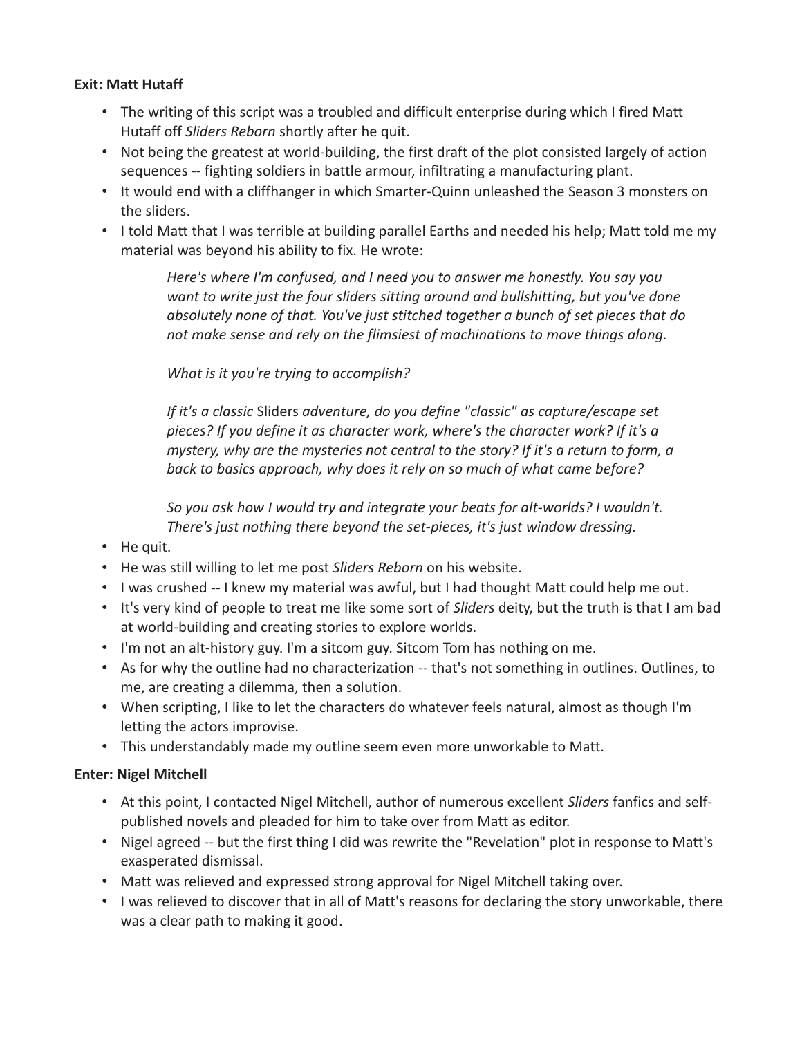#### **Exit: Matt Hutaff**

- The writing of this script was a troubled and difficult enterprise during which I fired Matt Hutaff off *Sliders Reborn* shortly after he quit.
- Not being the greatest at world-building, the first draft of the plot consisted largely of action sequences -- fighting soldiers in battle armour, infiltrating a manufacturing plant.
- It would end with a cliffhanger in which Smarter-Quinn unleashed the Season 3 monsters on the sliders.
- I told Matt that I was terrible at building parallel Earths and needed his help; Matt told me my material was beyond his ability to fix. He wrote:

*Here's where I'm confused, and I need you to answer me honestly. You say you want to write just the four sliders sitting around and bullshitting, but you've done absolutely none of that. You've just stitched together a bunch of set pieces that do not make sense and rely on the flimsiest of machinations to move things along.*

#### *What is it you're trying to accomplish?*

*If it's a classic* Sliders *adventure, do you define "classic" as capture/escape set pieces? If you define it as character work, where's the character work? If it's a mystery, why are the mysteries not central to the story? If it's a return to form, a back to basics approach, why does it rely on so much of what came before?*

*So you ask how I would try and integrate your beats for alt-worlds? I wouldn't. There's just nothing there beyond the set-pieces, it's just window dressing.*

- He quit.
- He was still willing to let me post *Sliders Reborn* on his website.
- I was crushed -- I knew my material was awful, but I had thought Matt could help me out.
- It's very kind of people to treat me like some sort of *Sliders* deity, but the truth is that I am bad at world-building and creating stories to explore worlds.
- I'm not an alt-history guy. I'm a sitcom guy. Sitcom Tom has nothing on me.
- As for why the outline had no characterization -- that's not something in outlines. Outlines, to me, are creating a dilemma, then a solution.
- When scripting, I like to let the characters do whatever feels natural, almost as though I'm letting the actors improvise.
- This understandably made my outline seem even more unworkable to Matt.

### **Enter: Nigel Mitchell**

- At this point, I contacted Nigel Mitchell, author of numerous excellent *Sliders* fanfics and selfpublished novels and pleaded for him to take over from Matt as editor.
- Nigel agreed -- but the first thing I did was rewrite the "Revelation" plot in response to Matt's exasperated dismissal.
- Matt was relieved and expressed strong approval for Nigel Mitchell taking over.
- I was relieved to discover that in all of Matt's reasons for declaring the story unworkable, there was a clear path to making it good.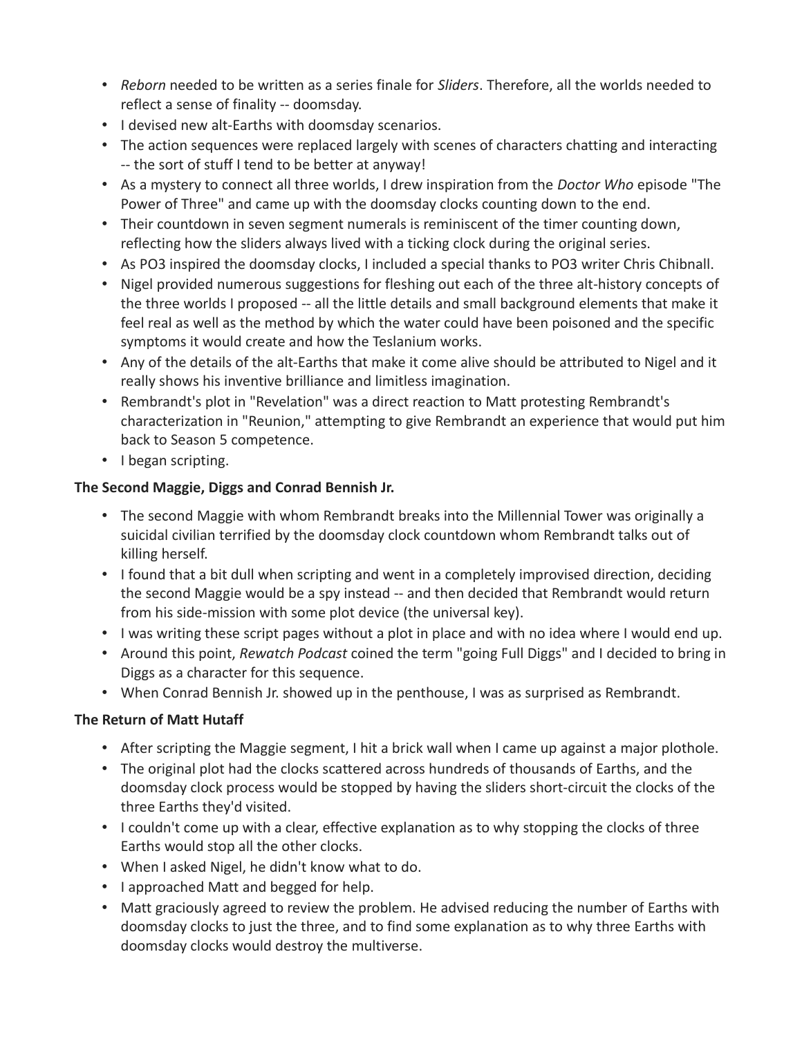- *Reborn* needed to be written as a series finale for *Sliders*. Therefore, all the worlds needed to reflect a sense of finality -- doomsday.
- I devised new alt-Earths with doomsday scenarios.
- The action sequences were replaced largely with scenes of characters chatting and interacting -- the sort of stuff I tend to be better at anyway!
- As a mystery to connect all three worlds, I drew inspiration from the *Doctor Who* episode "The Power of Three" and came up with the doomsday clocks counting down to the end.
- Their countdown in seven segment numerals is reminiscent of the timer counting down, reflecting how the sliders always lived with a ticking clock during the original series.
- As PO3 inspired the doomsday clocks, I included a special thanks to PO3 writer Chris Chibnall.
- Nigel provided numerous suggestions for fleshing out each of the three alt-history concepts of the three worlds I proposed -- all the little details and small background elements that make it feel real as well as the method by which the water could have been poisoned and the specific symptoms it would create and how the Teslanium works.
- Any of the details of the alt-Earths that make it come alive should be attributed to Nigel and it really shows his inventive brilliance and limitless imagination.
- Rembrandt's plot in "Revelation" was a direct reaction to Matt protesting Rembrandt's characterization in "Reunion," attempting to give Rembrandt an experience that would put him back to Season 5 competence.
- I began scripting.

# **The Second Maggie, Diggs and Conrad Bennish Jr.**

- The second Maggie with whom Rembrandt breaks into the Millennial Tower was originally a suicidal civilian terrified by the doomsday clock countdown whom Rembrandt talks out of killing herself.
- I found that a bit dull when scripting and went in a completely improvised direction, deciding the second Maggie would be a spy instead -- and then decided that Rembrandt would return from his side-mission with some plot device (the universal key).
- I was writing these script pages without a plot in place and with no idea where I would end up.
- Around this point, *Rewatch Podcast* coined the term "going Full Diggs" and I decided to bring in Diggs as a character for this sequence.
- When Conrad Bennish Jr. showed up in the penthouse, I was as surprised as Rembrandt.

# **The Return of Matt Hutaff**

- After scripting the Maggie segment, I hit a brick wall when I came up against a major plothole.
- The original plot had the clocks scattered across hundreds of thousands of Earths, and the doomsday clock process would be stopped by having the sliders short-circuit the clocks of the three Earths they'd visited.
- I couldn't come up with a clear, effective explanation as to why stopping the clocks of three Earths would stop all the other clocks.
- When I asked Nigel, he didn't know what to do.
- I approached Matt and begged for help.
- Matt graciously agreed to review the problem. He advised reducing the number of Earths with doomsday clocks to just the three, and to find some explanation as to why three Earths with doomsday clocks would destroy the multiverse.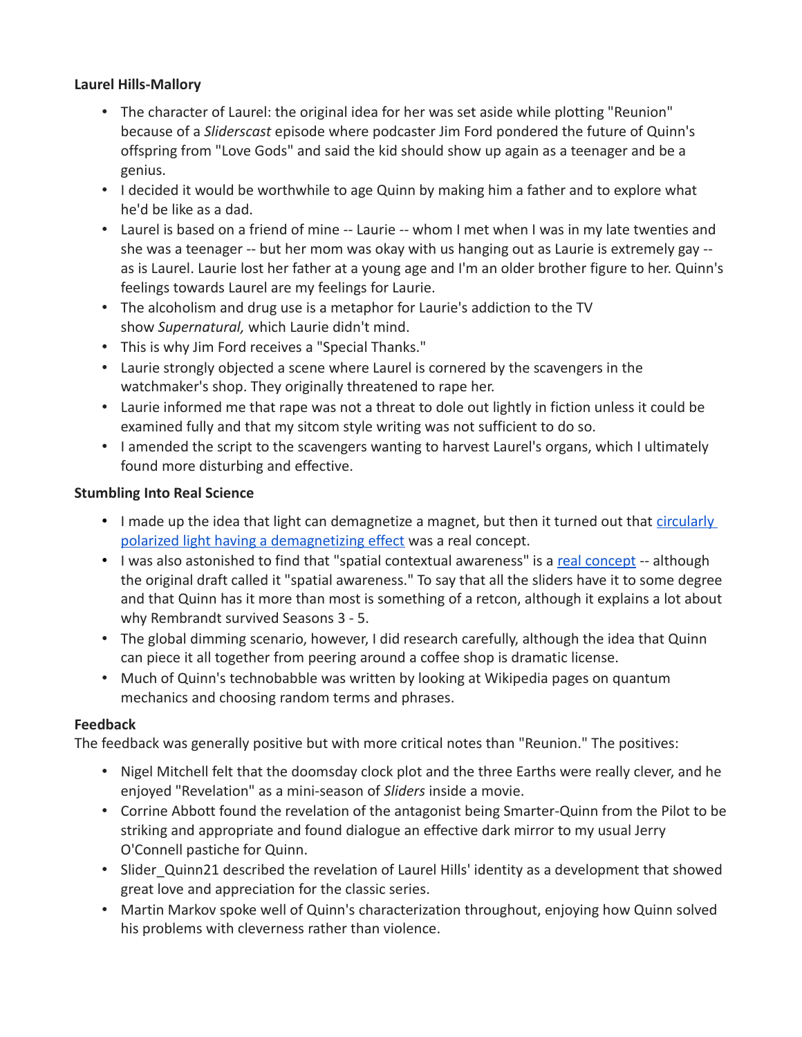#### **Laurel Hills-Mallory**

- The character of Laurel: the original idea for her was set aside while plotting "Reunion" because of a *Sliderscast* episode where podcaster Jim Ford pondered the future of Quinn's offspring from "Love Gods" and said the kid should show up again as a teenager and be a genius.
- I decided it would be worthwhile to age Quinn by making him a father and to explore what he'd be like as a dad.
- Laurel is based on a friend of mine -- Laurie -- whom I met when I was in my late twenties and she was a teenager -- but her mom was okay with us hanging out as Laurie is extremely gay - as is Laurel. Laurie lost her father at a young age and I'm an older brother figure to her. Quinn's feelings towards Laurel are my feelings for Laurie.
- The alcoholism and drug use is a metaphor for Laurie's addiction to the TV show *Supernatural,* which Laurie didn't mind.
- This is why Jim Ford receives a "Special Thanks."
- Laurie strongly objected a scene where Laurel is cornered by the scavengers in the watchmaker's shop. They originally threatened to rape her.
- Laurie informed me that rape was not a threat to dole out lightly in fiction unless it could be examined fully and that my sitcom style writing was not sufficient to do so.
- I amended the script to the scavengers wanting to harvest Laurel's organs, which I ultimately found more disturbing and effective.

#### **Stumbling Into Real Science**

- I made up the idea that light can demagnetize a magnet, but then it turned out that [circularly](https://en.wikipedia.org/wiki/Magnetization_reversal_by_circularly_polarized_light)  [polarized light having a demagnetizing effect](https://en.wikipedia.org/wiki/Magnetization_reversal_by_circularly_polarized_light) was a real concept.
- I was also astonished to find that "spatial contextual awareness" is a [real concept](https://en.wikipedia.org/wiki/Spatial_contextual_awareness) -- although the original draft called it "spatial awareness." To say that all the sliders have it to some degree and that Quinn has it more than most is something of a retcon, although it explains a lot about why Rembrandt survived Seasons 3 - 5.
- The global dimming scenario, however, I did research carefully, although the idea that Quinn can piece it all together from peering around a coffee shop is dramatic license.
- Much of Quinn's technobabble was written by looking at Wikipedia pages on quantum mechanics and choosing random terms and phrases.

### **Feedback**

The feedback was generally positive but with more critical notes than "Reunion." The positives:

- Nigel Mitchell felt that the doomsday clock plot and the three Earths were really clever, and he enjoyed "Revelation" as a mini-season of *Sliders* inside a movie.
- Corrine Abbott found the revelation of the antagonist being Smarter-Quinn from the Pilot to be striking and appropriate and found dialogue an effective dark mirror to my usual Jerry O'Connell pastiche for Quinn.
- Slider Quinn21 described the revelation of Laurel Hills' identity as a development that showed great love and appreciation for the classic series.
- Martin Markov spoke well of Quinn's characterization throughout, enjoying how Quinn solved his problems with cleverness rather than violence.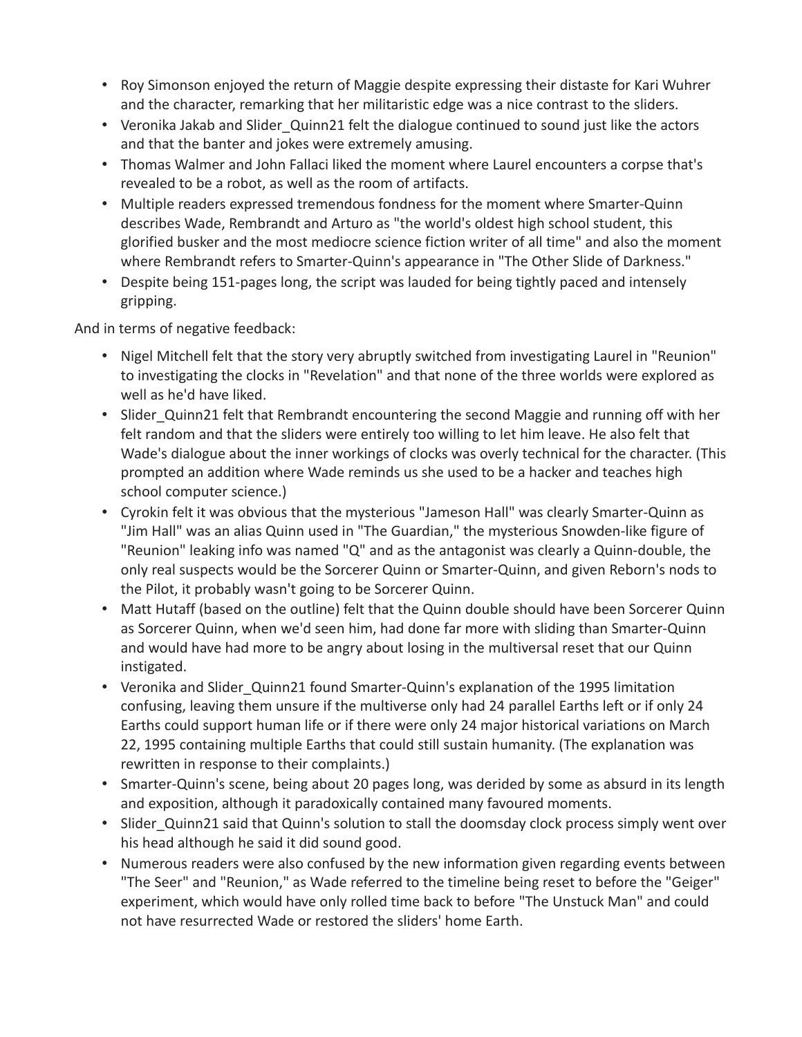- Roy Simonson enjoyed the return of Maggie despite expressing their distaste for Kari Wuhrer and the character, remarking that her militaristic edge was a nice contrast to the sliders.
- Veronika Jakab and Slider Quinn21 felt the dialogue continued to sound just like the actors and that the banter and jokes were extremely amusing.
- Thomas Walmer and John Fallaci liked the moment where Laurel encounters a corpse that's revealed to be a robot, as well as the room of artifacts.
- Multiple readers expressed tremendous fondness for the moment where Smarter-Quinn describes Wade, Rembrandt and Arturo as "the world's oldest high school student, this glorified busker and the most mediocre science fiction writer of all time" and also the moment where Rembrandt refers to Smarter-Quinn's appearance in "The Other Slide of Darkness."
- Despite being 151-pages long, the script was lauded for being tightly paced and intensely gripping.

And in terms of negative feedback:

- Nigel Mitchell felt that the story very abruptly switched from investigating Laurel in "Reunion" to investigating the clocks in "Revelation" and that none of the three worlds were explored as well as he'd have liked.
- Slider Quinn21 felt that Rembrandt encountering the second Maggie and running off with her felt random and that the sliders were entirely too willing to let him leave. He also felt that Wade's dialogue about the inner workings of clocks was overly technical for the character. (This prompted an addition where Wade reminds us she used to be a hacker and teaches high school computer science.)
- Cyrokin felt it was obvious that the mysterious "Jameson Hall" was clearly Smarter-Quinn as "Jim Hall" was an alias Quinn used in "The Guardian," the mysterious Snowden-like figure of "Reunion" leaking info was named "Q" and as the antagonist was clearly a Quinn-double, the only real suspects would be the Sorcerer Quinn or Smarter-Quinn, and given Reborn's nods to the Pilot, it probably wasn't going to be Sorcerer Quinn.
- Matt Hutaff (based on the outline) felt that the Quinn double should have been Sorcerer Quinn as Sorcerer Quinn, when we'd seen him, had done far more with sliding than Smarter-Quinn and would have had more to be angry about losing in the multiversal reset that our Quinn instigated.
- Veronika and Slider Quinn21 found Smarter-Quinn's explanation of the 1995 limitation confusing, leaving them unsure if the multiverse only had 24 parallel Earths left or if only 24 Earths could support human life or if there were only 24 major historical variations on March 22, 1995 containing multiple Earths that could still sustain humanity. (The explanation was rewritten in response to their complaints.)
- Smarter-Quinn's scene, being about 20 pages long, was derided by some as absurd in its length and exposition, although it paradoxically contained many favoured moments.
- Slider Quinn21 said that Quinn's solution to stall the doomsday clock process simply went over his head although he said it did sound good.
- Numerous readers were also confused by the new information given regarding events between "The Seer" and "Reunion," as Wade referred to the timeline being reset to before the "Geiger" experiment, which would have only rolled time back to before "The Unstuck Man" and could not have resurrected Wade or restored the sliders' home Earth.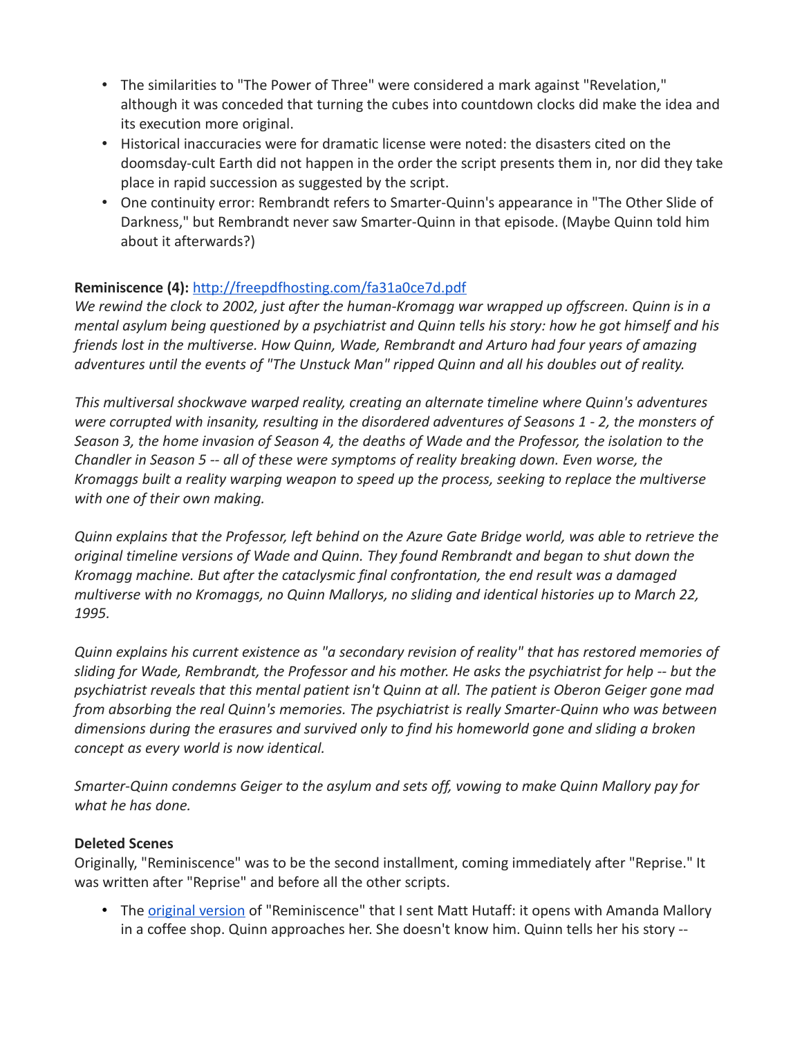- The similarities to "The Power of Three" were considered a mark against "Revelation," although it was conceded that turning the cubes into countdown clocks did make the idea and its execution more original.
- Historical inaccuracies were for dramatic license were noted: the disasters cited on the doomsday-cult Earth did not happen in the order the script presents them in, nor did they take place in rapid succession as suggested by the script.
- One continuity error: Rembrandt refers to Smarter-Quinn's appearance in "The Other Slide of Darkness," but Rembrandt never saw Smarter-Quinn in that episode. (Maybe Quinn told him about it afterwards?)

## **Reminiscence (4):** <http://freepdfhosting.com/fa31a0ce7d.pdf>

*We rewind the clock to 2002, just after the human-Kromagg war wrapped up offscreen. Quinn is in a mental asylum being questioned by a psychiatrist and Quinn tells his story: how he got himself and his friends lost in the multiverse. How Quinn, Wade, Rembrandt and Arturo had four years of amazing adventures until the events of "The Unstuck Man" ripped Quinn and all his doubles out of reality.*

*This multiversal shockwave warped reality, creating an alternate timeline where Quinn's adventures were corrupted with insanity, resulting in the disordered adventures of Seasons 1 - 2, the monsters of Season 3, the home invasion of Season 4, the deaths of Wade and the Professor, the isolation to the Chandler in Season 5 -- all of these were symptoms of reality breaking down. Even worse, the Kromaggs built a reality warping weapon to speed up the process, seeking to replace the multiverse with one of their own making.*

*Quinn explains that the Professor, left behind on the Azure Gate Bridge world, was able to retrieve the original timeline versions of Wade and Quinn. They found Rembrandt and began to shut down the Kromagg machine. But after the cataclysmic final confrontation, the end result was a damaged multiverse with no Kromaggs, no Quinn Mallorys, no sliding and identical histories up to March 22, 1995.*

*Quinn explains his current existence as "a secondary revision of reality" that has restored memories of sliding for Wade, Rembrandt, the Professor and his mother. He asks the psychiatrist for help -- but the psychiatrist reveals that this mental patient isn't Quinn at all. The patient is Oberon Geiger gone mad from absorbing the real Quinn's memories. The psychiatrist is really Smarter-Quinn who was between dimensions during the erasures and survived only to find his homeworld gone and sliding a broken concept as every world is now identical.*

*Smarter-Quinn condemns Geiger to the asylum and sets off, vowing to make Quinn Mallory pay for what he has done.*

### **Deleted Scenes**

Originally, "Reminiscence" was to be the second installment, coming immediately after "Reprise." It was written after "Reprise" and before all the other scripts.

• The *[original version](http://freepdfhosting.com/221bcaa5ee.pdf)* of "Reminiscence" that I sent Matt Hutaff: it opens with Amanda Mallory in a coffee shop. Quinn approaches her. She doesn't know him. Quinn tells her his story --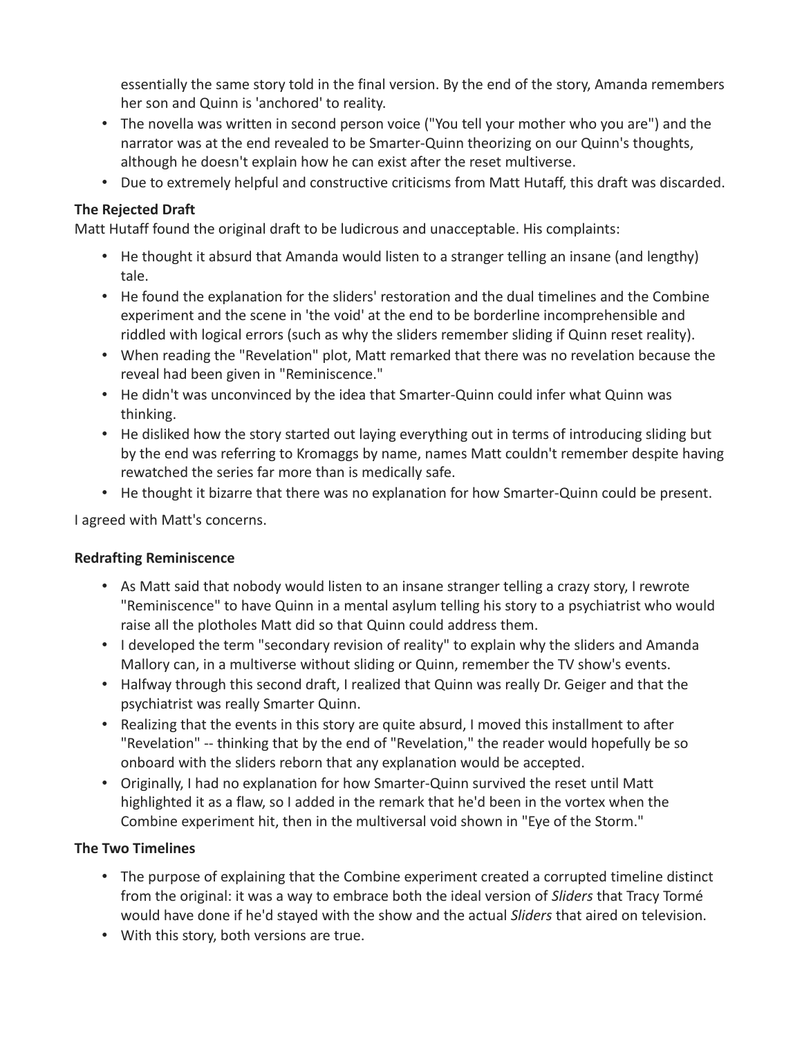essentially the same story told in the final version. By the end of the story, Amanda remembers her son and Quinn is 'anchored' to reality.

- The novella was written in second person voice ("You tell your mother who you are") and the narrator was at the end revealed to be Smarter-Quinn theorizing on our Quinn's thoughts, although he doesn't explain how he can exist after the reset multiverse.
- Due to extremely helpful and constructive criticisms from Matt Hutaff, this draft was discarded.

## **The Rejected Draft**

Matt Hutaff found the original draft to be ludicrous and unacceptable. His complaints:

- He thought it absurd that Amanda would listen to a stranger telling an insane (and lengthy) tale.
- He found the explanation for the sliders' restoration and the dual timelines and the Combine experiment and the scene in 'the void' at the end to be borderline incomprehensible and riddled with logical errors (such as why the sliders remember sliding if Quinn reset reality).
- When reading the "Revelation" plot, Matt remarked that there was no revelation because the reveal had been given in "Reminiscence."
- He didn't was unconvinced by the idea that Smarter-Quinn could infer what Quinn was thinking.
- He disliked how the story started out laying everything out in terms of introducing sliding but by the end was referring to Kromaggs by name, names Matt couldn't remember despite having rewatched the series far more than is medically safe.
- He thought it bizarre that there was no explanation for how Smarter-Quinn could be present.

I agreed with Matt's concerns.

### **Redrafting Reminiscence**

- As Matt said that nobody would listen to an insane stranger telling a crazy story, I rewrote "Reminiscence" to have Quinn in a mental asylum telling his story to a psychiatrist who would raise all the plotholes Matt did so that Quinn could address them.
- I developed the term "secondary revision of reality" to explain why the sliders and Amanda Mallory can, in a multiverse without sliding or Quinn, remember the TV show's events.
- Halfway through this second draft, I realized that Quinn was really Dr. Geiger and that the psychiatrist was really Smarter Quinn.
- Realizing that the events in this story are quite absurd, I moved this installment to after "Revelation" -- thinking that by the end of "Revelation," the reader would hopefully be so onboard with the sliders reborn that any explanation would be accepted.
- Originally, I had no explanation for how Smarter-Quinn survived the reset until Matt highlighted it as a flaw, so I added in the remark that he'd been in the vortex when the Combine experiment hit, then in the multiversal void shown in "Eye of the Storm."

### **The Two Timelines**

- The purpose of explaining that the Combine experiment created a corrupted timeline distinct from the original: it was a way to embrace both the ideal version of *Sliders* that Tracy Tormé would have done if he'd stayed with the show and the actual *Sliders* that aired on television.
- With this story, both versions are true.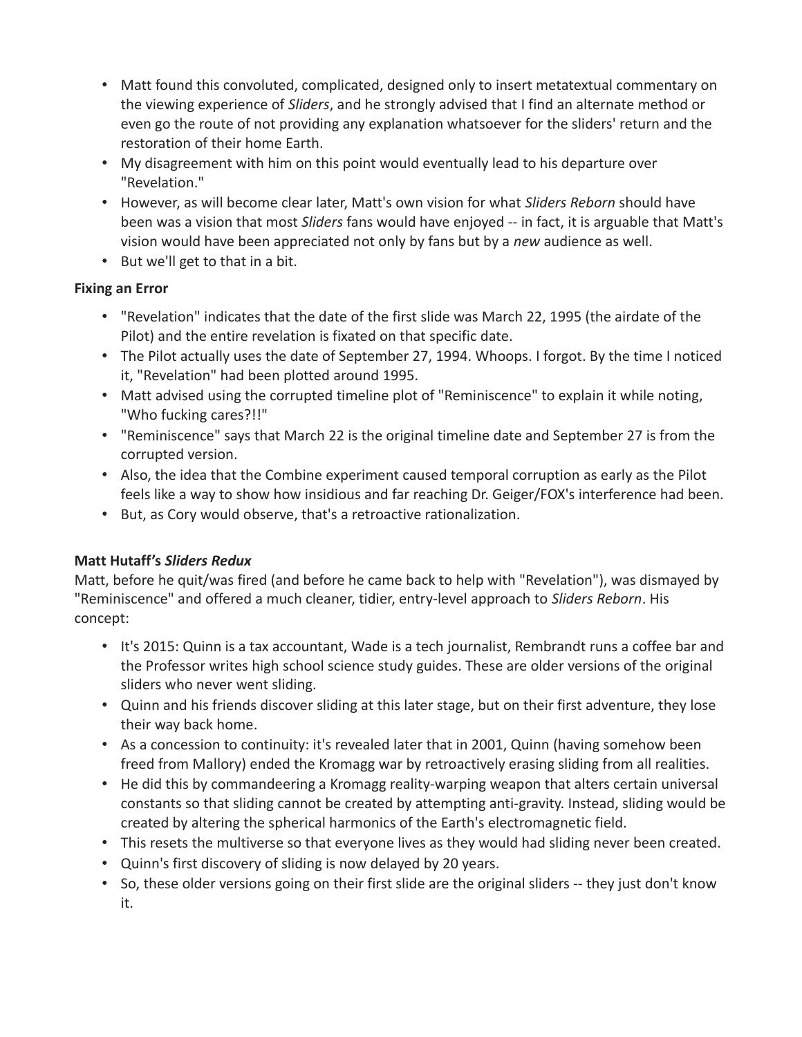- Matt found this convoluted, complicated, designed only to insert metatextual commentary on the viewing experience of *Sliders*, and he strongly advised that I find an alternate method or even go the route of not providing any explanation whatsoever for the sliders' return and the restoration of their home Earth.
- My disagreement with him on this point would eventually lead to his departure over "Revelation."
- However, as will become clear later, Matt's own vision for what *Sliders Reborn* should have been was a vision that most *Sliders* fans would have enjoyed -- in fact, it is arguable that Matt's vision would have been appreciated not only by fans but by a *new* audience as well.
- But we'll get to that in a bit.

## **Fixing an Error**

- "Revelation" indicates that the date of the first slide was March 22, 1995 (the airdate of the Pilot) and the entire revelation is fixated on that specific date.
- The Pilot actually uses the date of September 27, 1994. Whoops. I forgot. By the time I noticed it, "Revelation" had been plotted around 1995.
- Matt advised using the corrupted timeline plot of "Reminiscence" to explain it while noting, "Who fucking cares?!!"
- "Reminiscence" says that March 22 is the original timeline date and September 27 is from the corrupted version.
- Also, the idea that the Combine experiment caused temporal corruption as early as the Pilot feels like a way to show how insidious and far reaching Dr. Geiger/FOX's interference had been.
- But, as Cory would observe, that's a retroactive rationalization.

# **Matt Hutaff's** *Sliders Redux*

Matt, before he quit/was fired (and before he came back to help with "Revelation"), was dismayed by "Reminiscence" and offered a much cleaner, tidier, entry-level approach to *Sliders Reborn*. His concept:

- It's 2015: Quinn is a tax accountant, Wade is a tech journalist, Rembrandt runs a coffee bar and the Professor writes high school science study guides. These are older versions of the original sliders who never went sliding.
- Quinn and his friends discover sliding at this later stage, but on their first adventure, they lose their way back home.
- As a concession to continuity: it's revealed later that in 2001, Quinn (having somehow been freed from Mallory) ended the Kromagg war by retroactively erasing sliding from all realities.
- He did this by commandeering a Kromagg reality-warping weapon that alters certain universal constants so that sliding cannot be created by attempting anti-gravity. Instead, sliding would be created by altering the spherical harmonics of the Earth's electromagnetic field.
- This resets the multiverse so that everyone lives as they would had sliding never been created.
- Quinn's first discovery of sliding is now delayed by 20 years.
- So, these older versions going on their first slide are the original sliders -- they just don't know it.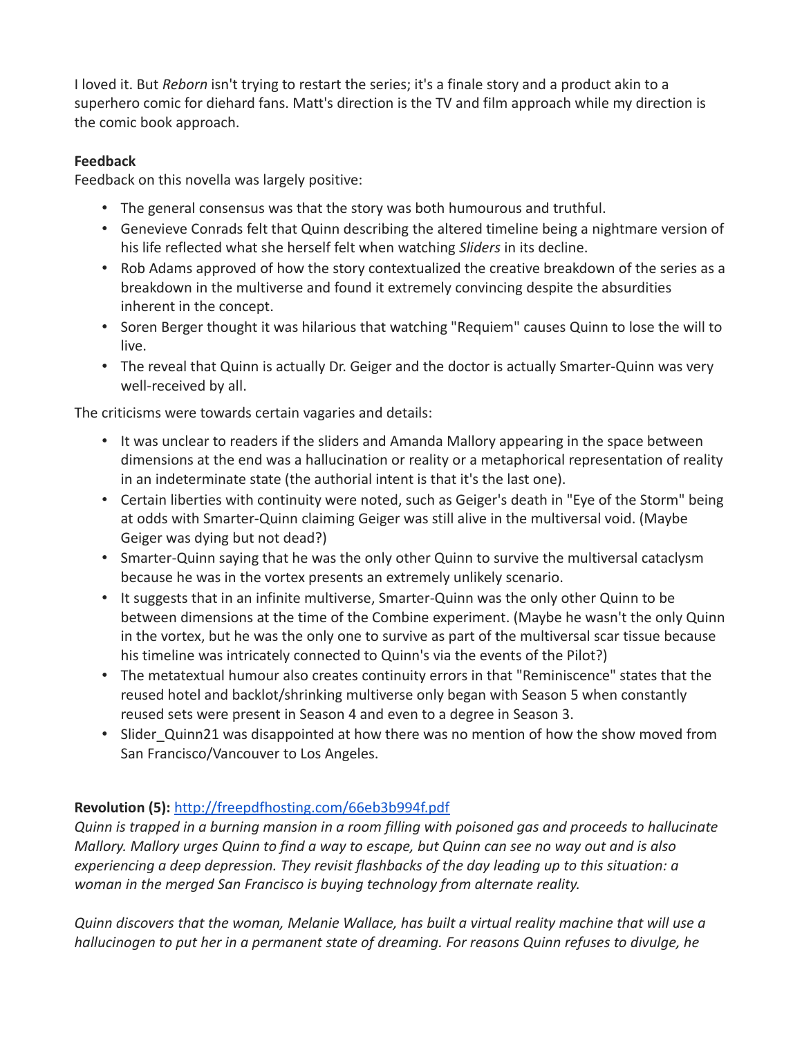I loved it. But *Reborn* isn't trying to restart the series; it's a finale story and a product akin to a superhero comic for diehard fans. Matt's direction is the TV and film approach while my direction is the comic book approach.

## **Feedback**

Feedback on this novella was largely positive:

- The general consensus was that the story was both humourous and truthful.
- Genevieve Conrads felt that Quinn describing the altered timeline being a nightmare version of his life reflected what she herself felt when watching *Sliders* in its decline.
- Rob Adams approved of how the story contextualized the creative breakdown of the series as a breakdown in the multiverse and found it extremely convincing despite the absurdities inherent in the concept.
- Soren Berger thought it was hilarious that watching "Requiem" causes Quinn to lose the will to live.
- The reveal that Quinn is actually Dr. Geiger and the doctor is actually Smarter-Quinn was very well-received by all.

The criticisms were towards certain vagaries and details:

- It was unclear to readers if the sliders and Amanda Mallory appearing in the space between dimensions at the end was a hallucination or reality or a metaphorical representation of reality in an indeterminate state (the authorial intent is that it's the last one).
- Certain liberties with continuity were noted, such as Geiger's death in "Eye of the Storm" being at odds with Smarter-Quinn claiming Geiger was still alive in the multiversal void. (Maybe Geiger was dying but not dead?)
- Smarter-Quinn saying that he was the only other Quinn to survive the multiversal cataclysm because he was in the vortex presents an extremely unlikely scenario.
- It suggests that in an infinite multiverse, Smarter-Quinn was the only other Quinn to be between dimensions at the time of the Combine experiment. (Maybe he wasn't the only Quinn in the vortex, but he was the only one to survive as part of the multiversal scar tissue because his timeline was intricately connected to Quinn's via the events of the Pilot?)
- The metatextual humour also creates continuity errors in that "Reminiscence" states that the reused hotel and backlot/shrinking multiverse only began with Season 5 when constantly reused sets were present in Season 4 and even to a degree in Season 3.
- Slider Quinn21 was disappointed at how there was no mention of how the show moved from San Francisco/Vancouver to Los Angeles.

# **Revolution (5):** <http://freepdfhosting.com/66eb3b994f.pdf>

*Quinn is trapped in a burning mansion in a room filling with poisoned gas and proceeds to hallucinate Mallory. Mallory urges Quinn to find a way to escape, but Quinn can see no way out and is also experiencing a deep depression. They revisit flashbacks of the day leading up to this situation: a woman in the merged San Francisco is buying technology from alternate reality.*

*Quinn discovers that the woman, Melanie Wallace, has built a virtual reality machine that will use a hallucinogen to put her in a permanent state of dreaming. For reasons Quinn refuses to divulge, he*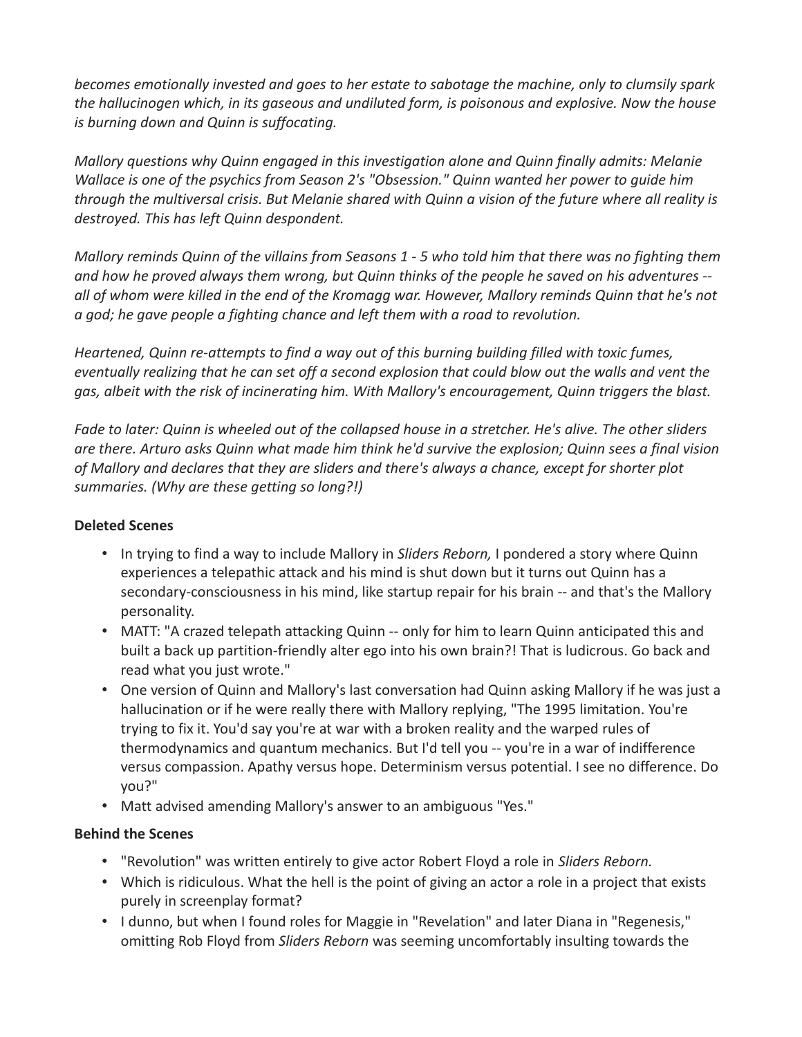*becomes emotionally invested and goes to her estate to sabotage the machine, only to clumsily spark the hallucinogen which, in its gaseous and undiluted form, is poisonous and explosive. Now the house is burning down and Quinn is suffocating.*

*Mallory questions why Quinn engaged in this investigation alone and Quinn finally admits: Melanie Wallace is one of the psychics from Season 2's "Obsession." Quinn wanted her power to guide him through the multiversal crisis. But Melanie shared with Quinn a vision of the future where all reality is destroyed. This has left Quinn despondent.*

*Mallory reminds Quinn of the villains from Seasons 1 - 5 who told him that there was no fighting them and how he proved always them wrong, but Quinn thinks of the people he saved on his adventures - all of whom were killed in the end of the Kromagg war. However, Mallory reminds Quinn that he's not a god; he gave people a fighting chance and left them with a road to revolution.*

*Heartened, Quinn re-attempts to find a way out of this burning building filled with toxic fumes, eventually realizing that he can set off a second explosion that could blow out the walls and vent the gas, albeit with the risk of incinerating him. With Mallory's encouragement, Quinn triggers the blast.*

*Fade to later: Quinn is wheeled out of the collapsed house in a stretcher. He's alive. The other sliders are there. Arturo asks Quinn what made him think he'd survive the explosion; Quinn sees a final vision of Mallory and declares that they are sliders and there's always a chance, except for shorter plot summaries. (Why are these getting so long?!)*

### **Deleted Scenes**

- In trying to find a way to include Mallory in *Sliders Reborn,* I pondered a story where Quinn experiences a telepathic attack and his mind is shut down but it turns out Quinn has a secondary-consciousness in his mind, like startup repair for his brain -- and that's the Mallory personality.
- MATT: "A crazed telepath attacking Quinn -- only for him to learn Quinn anticipated this and built a back up partition-friendly alter ego into his own brain?! That is ludicrous. Go back and read what you just wrote."
- One version of Quinn and Mallory's last conversation had Quinn asking Mallory if he was just a hallucination or if he were really there with Mallory replying, "The 1995 limitation. You're trying to fix it. You'd say you're at war with a broken reality and the warped rules of thermodynamics and quantum mechanics. But I'd tell you -- you're in a war of indifference versus compassion. Apathy versus hope. Determinism versus potential. I see no difference. Do you?"
- Matt advised amending Mallory's answer to an ambiguous "Yes."

### **Behind the Scenes**

- "Revolution" was written entirely to give actor Robert Floyd a role in *Sliders Reborn.*
- Which is ridiculous. What the hell is the point of giving an actor a role in a project that exists purely in screenplay format?
- I dunno, but when I found roles for Maggie in "Revelation" and later Diana in "Regenesis," omitting Rob Floyd from *Sliders Reborn* was seeming uncomfortably insulting towards the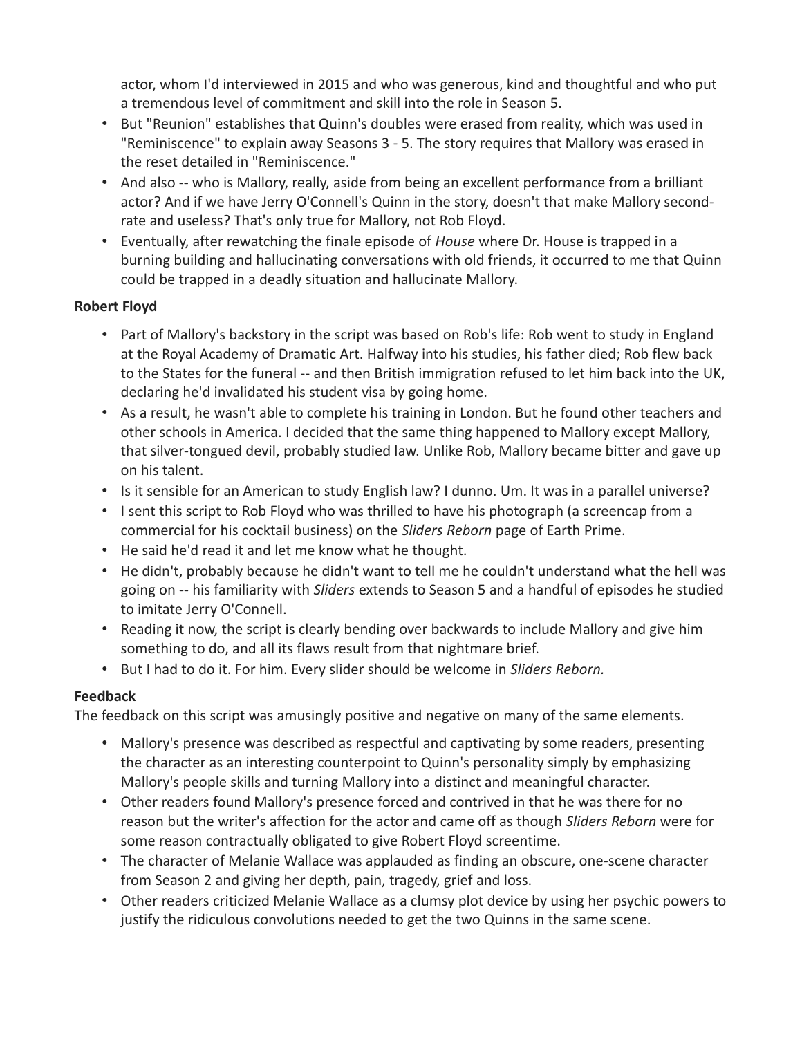actor, whom I'd interviewed in 2015 and who was generous, kind and thoughtful and who put a tremendous level of commitment and skill into the role in Season 5.

- But "Reunion" establishes that Quinn's doubles were erased from reality, which was used in "Reminiscence" to explain away Seasons 3 - 5. The story requires that Mallory was erased in the reset detailed in "Reminiscence."
- And also -- who is Mallory, really, aside from being an excellent performance from a brilliant actor? And if we have Jerry O'Connell's Quinn in the story, doesn't that make Mallory secondrate and useless? That's only true for Mallory, not Rob Floyd.
- Eventually, after rewatching the finale episode of *House* where Dr. House is trapped in a burning building and hallucinating conversations with old friends, it occurred to me that Quinn could be trapped in a deadly situation and hallucinate Mallory.

### **Robert Floyd**

- Part of Mallory's backstory in the script was based on Rob's life: Rob went to study in England at the Royal Academy of Dramatic Art. Halfway into his studies, his father died; Rob flew back to the States for the funeral -- and then British immigration refused to let him back into the UK, declaring he'd invalidated his student visa by going home.
- As a result, he wasn't able to complete his training in London. But he found other teachers and other schools in America. I decided that the same thing happened to Mallory except Mallory, that silver-tongued devil, probably studied law. Unlike Rob, Mallory became bitter and gave up on his talent.
- Is it sensible for an American to study English law? I dunno. Um. It was in a parallel universe?
- I sent this script to Rob Floyd who was thrilled to have his photograph (a screencap from a commercial for his cocktail business) on the *Sliders Reborn* page of Earth Prime.
- He said he'd read it and let me know what he thought.
- He didn't, probably because he didn't want to tell me he couldn't understand what the hell was going on -- his familiarity with *Sliders* extends to Season 5 and a handful of episodes he studied to imitate Jerry O'Connell.
- Reading it now, the script is clearly bending over backwards to include Mallory and give him something to do, and all its flaws result from that nightmare brief.
- But I had to do it. For him. Every slider should be welcome in *Sliders Reborn.*

# **Feedback**

The feedback on this script was amusingly positive and negative on many of the same elements.

- Mallory's presence was described as respectful and captivating by some readers, presenting the character as an interesting counterpoint to Quinn's personality simply by emphasizing Mallory's people skills and turning Mallory into a distinct and meaningful character.
- Other readers found Mallory's presence forced and contrived in that he was there for no reason but the writer's affection for the actor and came off as though *Sliders Reborn* were for some reason contractually obligated to give Robert Floyd screentime.
- The character of Melanie Wallace was applauded as finding an obscure, one-scene character from Season 2 and giving her depth, pain, tragedy, grief and loss.
- Other readers criticized Melanie Wallace as a clumsy plot device by using her psychic powers to justify the ridiculous convolutions needed to get the two Quinns in the same scene.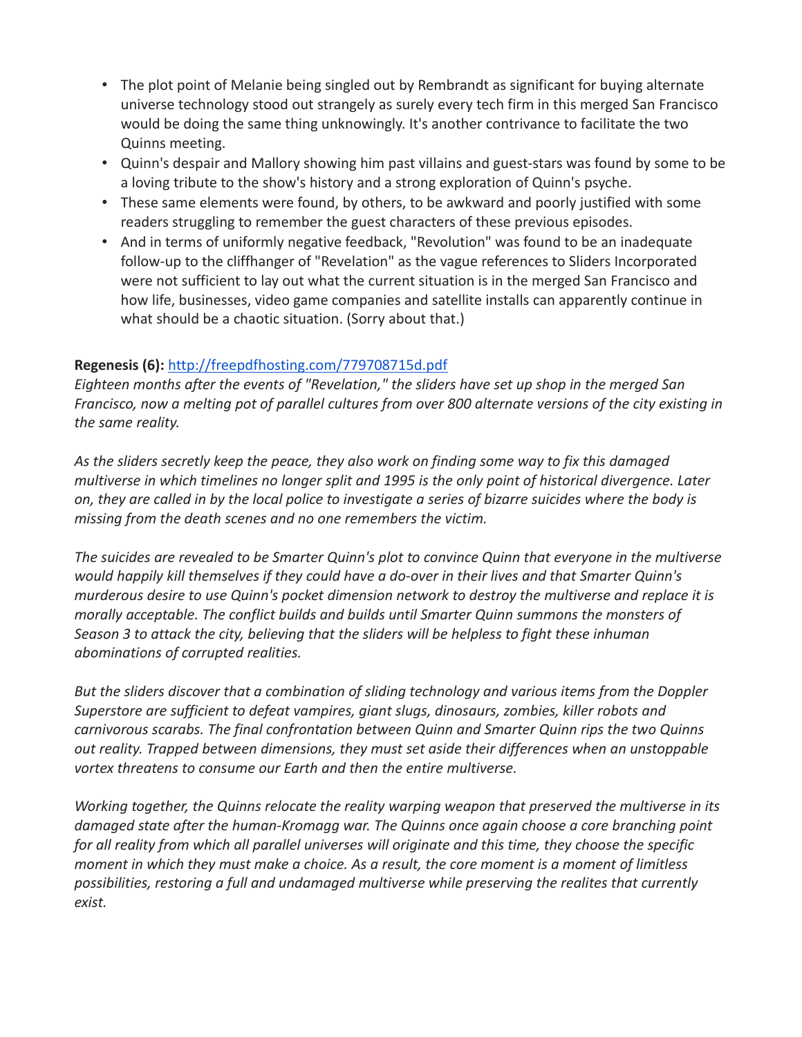- The plot point of Melanie being singled out by Rembrandt as significant for buying alternate universe technology stood out strangely as surely every tech firm in this merged San Francisco would be doing the same thing unknowingly. It's another contrivance to facilitate the two Quinns meeting.
- Quinn's despair and Mallory showing him past villains and guest-stars was found by some to be a loving tribute to the show's history and a strong exploration of Quinn's psyche.
- These same elements were found, by others, to be awkward and poorly justified with some readers struggling to remember the guest characters of these previous episodes.
- And in terms of uniformly negative feedback, "Revolution" was found to be an inadequate follow-up to the cliffhanger of "Revelation" as the vague references to Sliders Incorporated were not sufficient to lay out what the current situation is in the merged San Francisco and how life, businesses, video game companies and satellite installs can apparently continue in what should be a chaotic situation. (Sorry about that.)

## **Regenesis (6):** <http://freepdfhosting.com/779708715d.pdf>

*Eighteen months after the events of "Revelation," the sliders have set up shop in the merged San Francisco, now a melting pot of parallel cultures from over 800 alternate versions of the city existing in the same reality.*

*As the sliders secretly keep the peace, they also work on finding some way to fix this damaged multiverse in which timelines no longer split and 1995 is the only point of historical divergence. Later on, they are called in by the local police to investigate a series of bizarre suicides where the body is missing from the death scenes and no one remembers the victim.*

*The suicides are revealed to be Smarter Quinn's plot to convince Quinn that everyone in the multiverse would happily kill themselves if they could have a do-over in their lives and that Smarter Quinn's murderous desire to use Quinn's pocket dimension network to destroy the multiverse and replace it is morally acceptable. The conflict builds and builds until Smarter Quinn summons the monsters of Season 3 to attack the city, believing that the sliders will be helpless to fight these inhuman abominations of corrupted realities.*

*But the sliders discover that a combination of sliding technology and various items from the Doppler Superstore are sufficient to defeat vampires, giant slugs, dinosaurs, zombies, killer robots and carnivorous scarabs. The final confrontation between Quinn and Smarter Quinn rips the two Quinns out reality. Trapped between dimensions, they must set aside their differences when an unstoppable vortex threatens to consume our Earth and then the entire multiverse.*

*Working together, the Quinns relocate the reality warping weapon that preserved the multiverse in its damaged state after the human-Kromagg war. The Quinns once again choose a core branching point for all reality from which all parallel universes will originate and this time, they choose the specific moment in which they must make a choice. As a result, the core moment is a moment of limitless possibilities, restoring a full and undamaged multiverse while preserving the realites that currently exist.*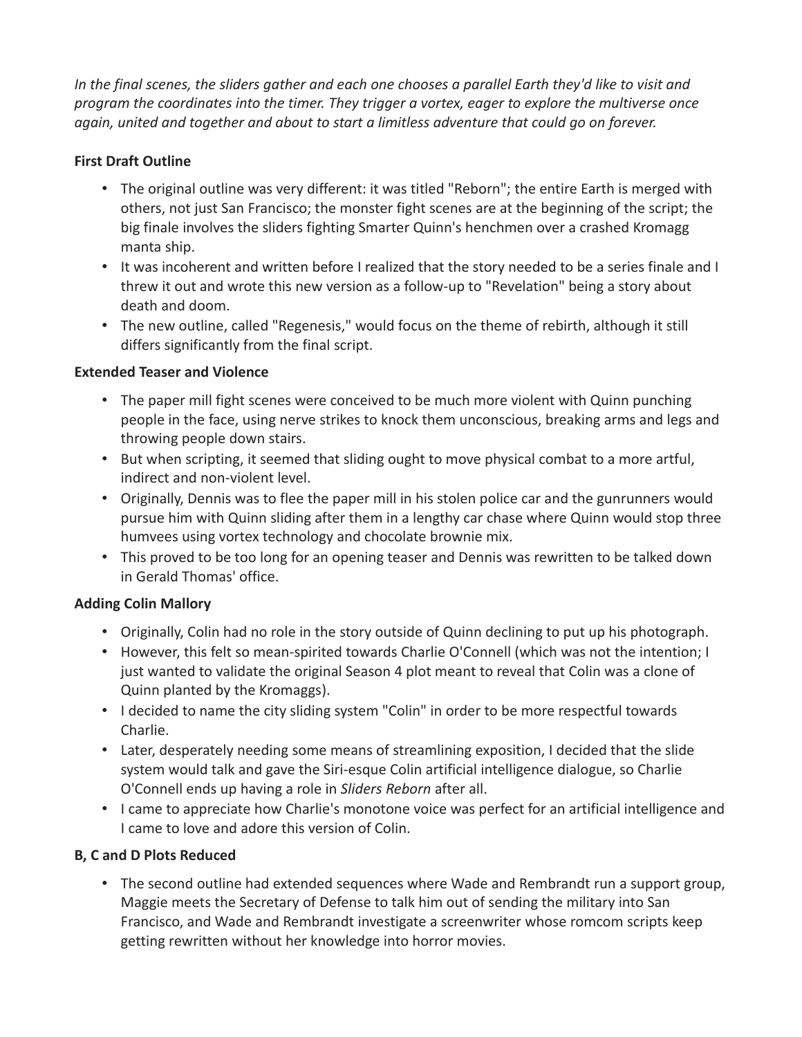In the final scenes, the sliders gather and each one chooses a parallel Earth they'd like to visit and *program the coordinates into the timer. They trigger a vortex, eager to explore the multiverse once again, united and together and about to start a limitless adventure that could go on forever.*

## **First Draft Outline**

- The original outline was very different: it was titled "Reborn"; the entire Earth is merged with others, not just San Francisco; the monster fight scenes are at the beginning of the script; the big finale involves the sliders fighting Smarter Quinn's henchmen over a crashed Kromagg manta ship.
- It was incoherent and written before I realized that the story needed to be a series finale and I threw it out and wrote this new version as a follow-up to "Revelation" being a story about death and doom.
- The new outline, called "Regenesis," would focus on the theme of rebirth, although it still differs significantly from the final script.

### **Extended Teaser and Violence**

- The paper mill fight scenes were conceived to be much more violent with Quinn punching people in the face, using nerve strikes to knock them unconscious, breaking arms and legs and throwing people down stairs.
- But when scripting, it seemed that sliding ought to move physical combat to a more artful, indirect and non-violent level.
- Originally, Dennis was to flee the paper mill in his stolen police car and the gunrunners would pursue him with Quinn sliding after them in a lengthy car chase where Quinn would stop three humvees using vortex technology and chocolate brownie mix.
- This proved to be too long for an opening teaser and Dennis was rewritten to be talked down in Gerald Thomas' office.

# **Adding Colin Mallory**

- Originally, Colin had no role in the story outside of Quinn declining to put up his photograph.
- However, this felt so mean-spirited towards Charlie O'Connell (which was not the intention; I just wanted to validate the original Season 4 plot meant to reveal that Colin was a clone of Quinn planted by the Kromaggs).
- I decided to name the city sliding system "Colin" in order to be more respectful towards Charlie.
- Later, desperately needing some means of streamlining exposition, I decided that the slide system would talk and gave the Siri-esque Colin artificial intelligence dialogue, so Charlie O'Connell ends up having a role in *Sliders Reborn* after all.
- I came to appreciate how Charlie's monotone voice was perfect for an artificial intelligence and I came to love and adore this version of Colin.

### **B, C and D Plots Reduced**

• The second outline had extended sequences where Wade and Rembrandt run a support group, Maggie meets the Secretary of Defense to talk him out of sending the military into San Francisco, and Wade and Rembrandt investigate a screenwriter whose romcom scripts keep getting rewritten without her knowledge into horror movies.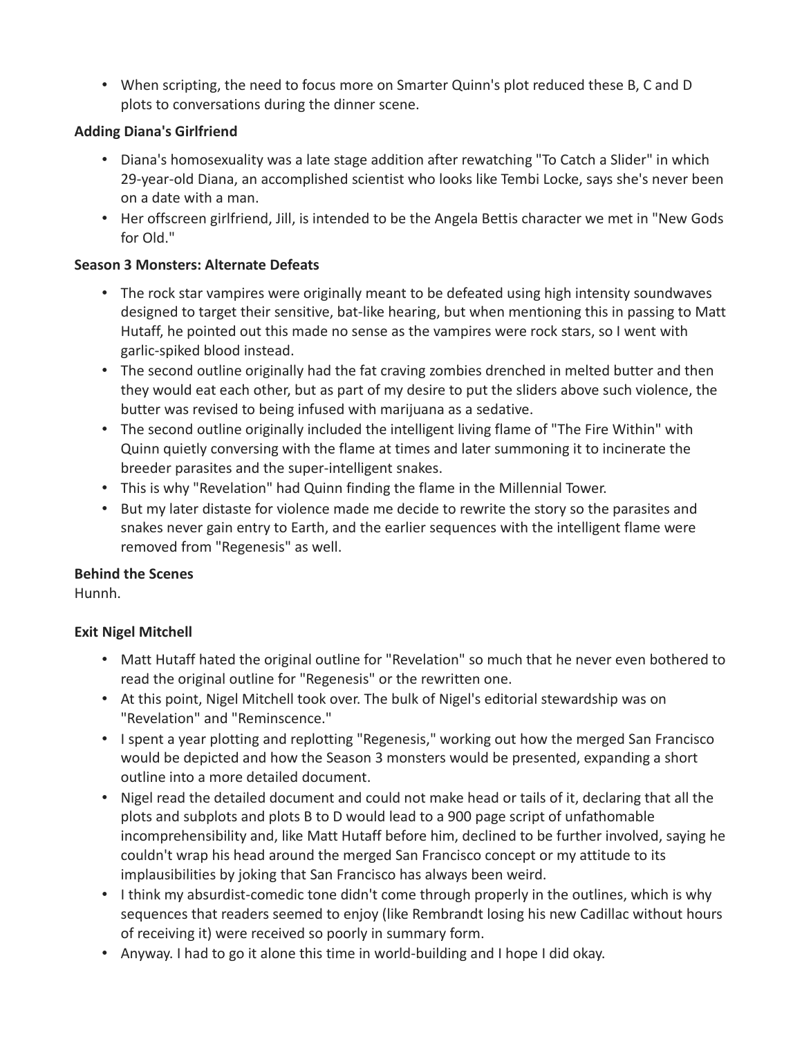• When scripting, the need to focus more on Smarter Quinn's plot reduced these B, C and D plots to conversations during the dinner scene.

### **Adding Diana's Girlfriend**

- Diana's homosexuality was a late stage addition after rewatching "To Catch a Slider" in which 29-year-old Diana, an accomplished scientist who looks like Tembi Locke, says she's never been on a date with a man.
- Her offscreen girlfriend, Jill, is intended to be the Angela Bettis character we met in "New Gods for Old."

## **Season 3 Monsters: Alternate Defeats**

- The rock star vampires were originally meant to be defeated using high intensity soundwaves designed to target their sensitive, bat-like hearing, but when mentioning this in passing to Matt Hutaff, he pointed out this made no sense as the vampires were rock stars, so I went with garlic-spiked blood instead.
- The second outline originally had the fat craving zombies drenched in melted butter and then they would eat each other, but as part of my desire to put the sliders above such violence, the butter was revised to being infused with marijuana as a sedative.
- The second outline originally included the intelligent living flame of "The Fire Within" with Quinn quietly conversing with the flame at times and later summoning it to incinerate the breeder parasites and the super-intelligent snakes.
- This is why "Revelation" had Quinn finding the flame in the Millennial Tower.
- But my later distaste for violence made me decide to rewrite the story so the parasites and snakes never gain entry to Earth, and the earlier sequences with the intelligent flame were removed from "Regenesis" as well.

### **Behind the Scenes**

Hunnh.

# **Exit Nigel Mitchell**

- Matt Hutaff hated the original outline for "Revelation" so much that he never even bothered to read the original outline for "Regenesis" or the rewritten one.
- At this point, Nigel Mitchell took over. The bulk of Nigel's editorial stewardship was on "Revelation" and "Reminscence."
- I spent a year plotting and replotting "Regenesis," working out how the merged San Francisco would be depicted and how the Season 3 monsters would be presented, expanding a short outline into a more detailed document.
- Nigel read the detailed document and could not make head or tails of it, declaring that all the plots and subplots and plots B to D would lead to a 900 page script of unfathomable incomprehensibility and, like Matt Hutaff before him, declined to be further involved, saying he couldn't wrap his head around the merged San Francisco concept or my attitude to its implausibilities by joking that San Francisco has always been weird.
- I think my absurdist-comedic tone didn't come through properly in the outlines, which is why sequences that readers seemed to enjoy (like Rembrandt losing his new Cadillac without hours of receiving it) were received so poorly in summary form.
- Anyway. I had to go it alone this time in world-building and I hope I did okay.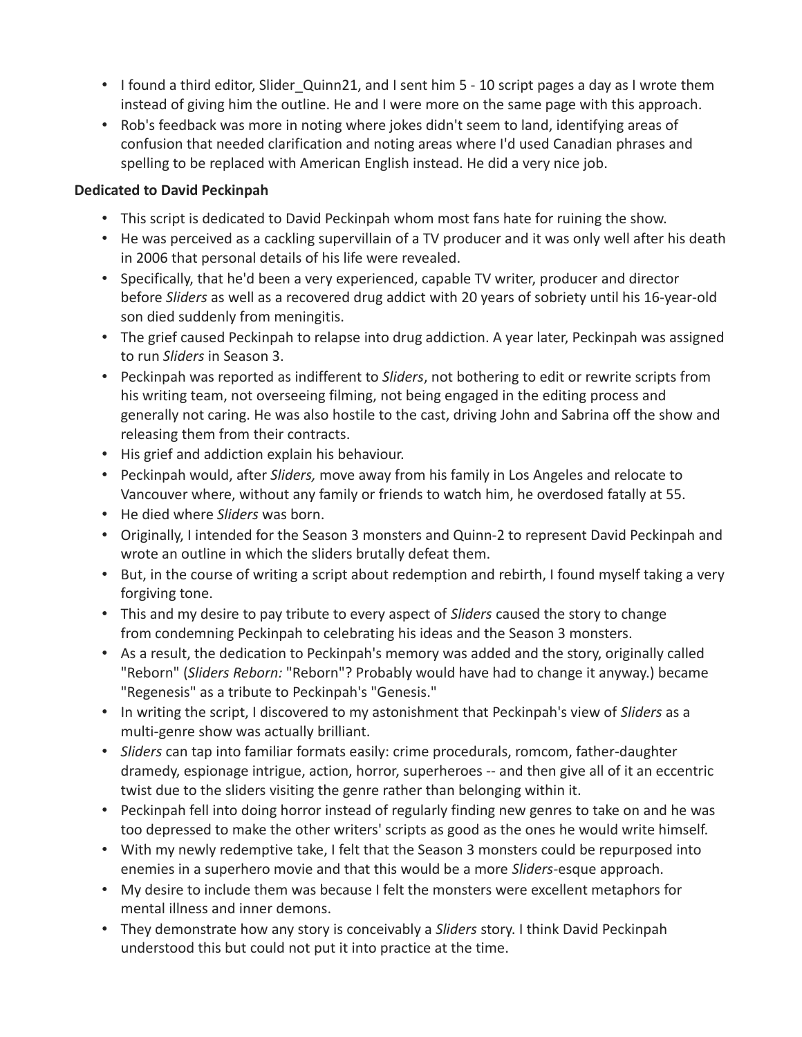- I found a third editor, Slider Quinn21, and I sent him 5 10 script pages a day as I wrote them instead of giving him the outline. He and I were more on the same page with this approach.
- Rob's feedback was more in noting where jokes didn't seem to land, identifying areas of confusion that needed clarification and noting areas where I'd used Canadian phrases and spelling to be replaced with American English instead. He did a very nice job.

#### **Dedicated to David Peckinpah**

- This script is dedicated to David Peckinpah whom most fans hate for ruining the show.
- He was perceived as a cackling supervillain of a TV producer and it was only well after his death in 2006 that personal details of his life were revealed.
- Specifically, that he'd been a very experienced, capable TV writer, producer and director before *Sliders* as well as a recovered drug addict with 20 years of sobriety until his 16-year-old son died suddenly from meningitis.
- The grief caused Peckinpah to relapse into drug addiction. A year later, Peckinpah was assigned to run *Sliders* in Season 3.
- Peckinpah was reported as indifferent to *Sliders*, not bothering to edit or rewrite scripts from his writing team, not overseeing filming, not being engaged in the editing process and generally not caring. He was also hostile to the cast, driving John and Sabrina off the show and releasing them from their contracts.
- His grief and addiction explain his behaviour.
- Peckinpah would, after *Sliders,* move away from his family in Los Angeles and relocate to Vancouver where, without any family or friends to watch him, he overdosed fatally at 55.
- He died where *Sliders* was born.
- Originally, I intended for the Season 3 monsters and Quinn-2 to represent David Peckinpah and wrote an outline in which the sliders brutally defeat them.
- But, in the course of writing a script about redemption and rebirth, I found myself taking a very forgiving tone.
- This and my desire to pay tribute to every aspect of *Sliders* caused the story to change from condemning Peckinpah to celebrating his ideas and the Season 3 monsters.
- As a result, the dedication to Peckinpah's memory was added and the story, originally called "Reborn" (*Sliders Reborn:* "Reborn"? Probably would have had to change it anyway.) became "Regenesis" as a tribute to Peckinpah's "Genesis."
- In writing the script, I discovered to my astonishment that Peckinpah's view of *Sliders* as a multi-genre show was actually brilliant.
- *Sliders* can tap into familiar formats easily: crime procedurals, romcom, father-daughter dramedy, espionage intrigue, action, horror, superheroes -- and then give all of it an eccentric twist due to the sliders visiting the genre rather than belonging within it.
- Peckinpah fell into doing horror instead of regularly finding new genres to take on and he was too depressed to make the other writers' scripts as good as the ones he would write himself.
- With my newly redemptive take, I felt that the Season 3 monsters could be repurposed into enemies in a superhero movie and that this would be a more *Sliders-*esque approach.
- My desire to include them was because I felt the monsters were excellent metaphors for mental illness and inner demons.
- They demonstrate how any story is conceivably a *Sliders* story. I think David Peckinpah understood this but could not put it into practice at the time.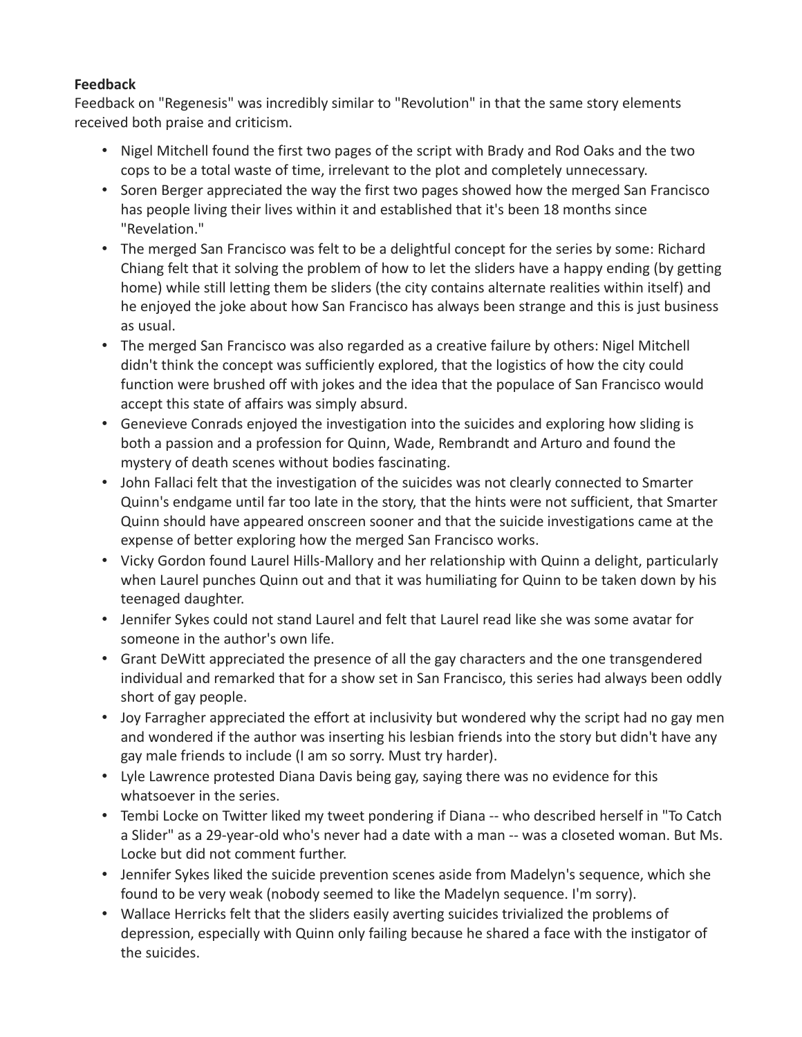## **Feedback**

Feedback on "Regenesis" was incredibly similar to "Revolution" in that the same story elements received both praise and criticism.

- Nigel Mitchell found the first two pages of the script with Brady and Rod Oaks and the two cops to be a total waste of time, irrelevant to the plot and completely unnecessary.
- Soren Berger appreciated the way the first two pages showed how the merged San Francisco has people living their lives within it and established that it's been 18 months since "Revelation."
- The merged San Francisco was felt to be a delightful concept for the series by some: Richard Chiang felt that it solving the problem of how to let the sliders have a happy ending (by getting home) while still letting them be sliders (the city contains alternate realities within itself) and he enjoyed the joke about how San Francisco has always been strange and this is just business as usual.
- The merged San Francisco was also regarded as a creative failure by others: Nigel Mitchell didn't think the concept was sufficiently explored, that the logistics of how the city could function were brushed off with jokes and the idea that the populace of San Francisco would accept this state of affairs was simply absurd.
- Genevieve Conrads enjoyed the investigation into the suicides and exploring how sliding is both a passion and a profession for Quinn, Wade, Rembrandt and Arturo and found the mystery of death scenes without bodies fascinating.
- John Fallaci felt that the investigation of the suicides was not clearly connected to Smarter Quinn's endgame until far too late in the story, that the hints were not sufficient, that Smarter Quinn should have appeared onscreen sooner and that the suicide investigations came at the expense of better exploring how the merged San Francisco works.
- Vicky Gordon found Laurel Hills-Mallory and her relationship with Quinn a delight, particularly when Laurel punches Quinn out and that it was humiliating for Quinn to be taken down by his teenaged daughter.
- Jennifer Sykes could not stand Laurel and felt that Laurel read like she was some avatar for someone in the author's own life.
- Grant DeWitt appreciated the presence of all the gay characters and the one transgendered individual and remarked that for a show set in San Francisco, this series had always been oddly short of gay people.
- Joy Farragher appreciated the effort at inclusivity but wondered why the script had no gay men and wondered if the author was inserting his lesbian friends into the story but didn't have any gay male friends to include (I am so sorry. Must try harder).
- Lyle Lawrence protested Diana Davis being gay, saying there was no evidence for this whatsoever in the series.
- Tembi Locke on Twitter liked my tweet pondering if Diana -- who described herself in "To Catch a Slider" as a 29-year-old who's never had a date with a man -- was a closeted woman. But Ms. Locke but did not comment further.
- Jennifer Sykes liked the suicide prevention scenes aside from Madelyn's sequence, which she found to be very weak (nobody seemed to like the Madelyn sequence. I'm sorry).
- Wallace Herricks felt that the sliders easily averting suicides trivialized the problems of depression, especially with Quinn only failing because he shared a face with the instigator of the suicides.